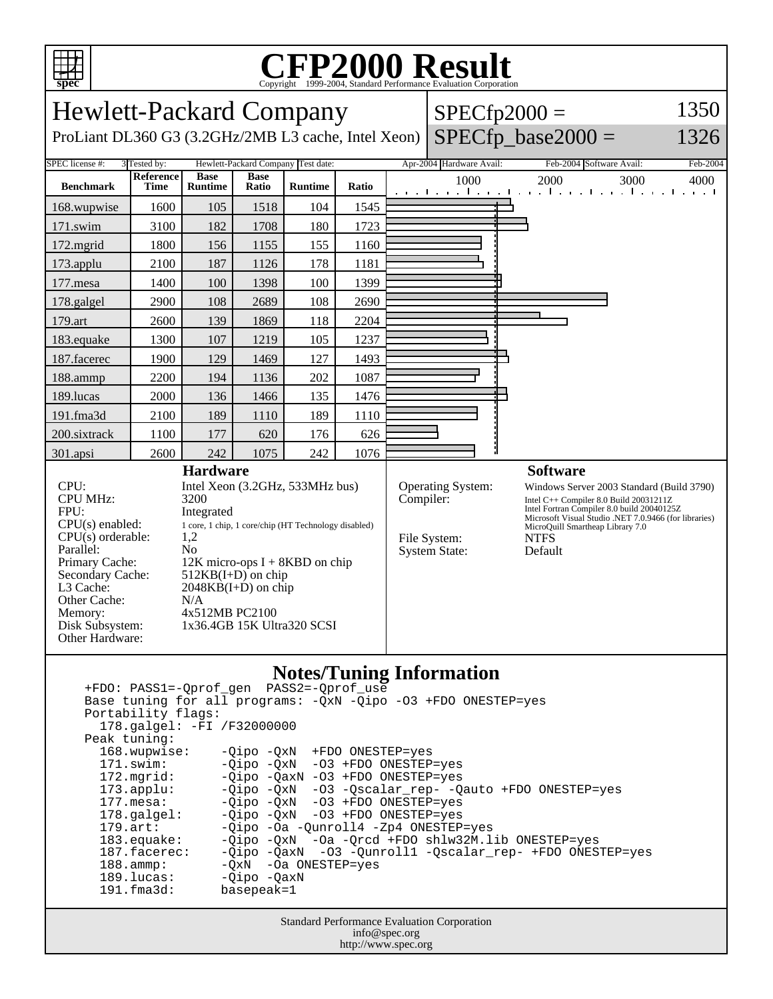

## Copyright ©1999-2004, Standard Performance Evaluation Corporation

| 1350<br><b>Hewlett-Packard Company</b><br>$SPECfp2000 =$                                                                                                                                                     |                                                                                                                                                                                                                                                                                                     |                               |                      |                |           |                                                                  |                                                                                                                                                                                                                                                                               |                                                                           |          |
|--------------------------------------------------------------------------------------------------------------------------------------------------------------------------------------------------------------|-----------------------------------------------------------------------------------------------------------------------------------------------------------------------------------------------------------------------------------------------------------------------------------------------------|-------------------------------|----------------------|----------------|-----------|------------------------------------------------------------------|-------------------------------------------------------------------------------------------------------------------------------------------------------------------------------------------------------------------------------------------------------------------------------|---------------------------------------------------------------------------|----------|
| ProLiant DL360 G3 (3.2GHz/2MB L3 cache, Intel Xeon)                                                                                                                                                          |                                                                                                                                                                                                                                                                                                     |                               |                      |                |           |                                                                  |                                                                                                                                                                                                                                                                               | $SPECfp\_base2000 =$                                                      | 1326     |
| SPEC license #:<br>3 Tested by:<br>Hewlett-Packard Company Test date:                                                                                                                                        |                                                                                                                                                                                                                                                                                                     |                               |                      |                |           |                                                                  | Apr-2004 Hardware Avail:                                                                                                                                                                                                                                                      | Feb-2004 Software Avail:                                                  | Feb-2004 |
| <b>Benchmark</b>                                                                                                                                                                                             | <b>Reference</b><br>Time                                                                                                                                                                                                                                                                            | <b>Base</b><br><b>Runtime</b> | <b>Base</b><br>Ratio | <b>Runtime</b> | Ratio     |                                                                  | 1000                                                                                                                                                                                                                                                                          | 2000<br>3000<br>and the and the anti-standard continued the anti-standard | 4000     |
| 168.wupwise                                                                                                                                                                                                  | 1600                                                                                                                                                                                                                                                                                                | 105                           | 1518                 | 104            | 1545      |                                                                  |                                                                                                                                                                                                                                                                               |                                                                           |          |
| 171.swim                                                                                                                                                                                                     | 3100                                                                                                                                                                                                                                                                                                | 182                           | 1708                 | 180            | 1723      |                                                                  |                                                                                                                                                                                                                                                                               |                                                                           |          |
| 172.mgrid                                                                                                                                                                                                    | 1800                                                                                                                                                                                                                                                                                                | 156                           | 1155                 | 155            | 1160      |                                                                  |                                                                                                                                                                                                                                                                               |                                                                           |          |
| 173.applu                                                                                                                                                                                                    | 2100                                                                                                                                                                                                                                                                                                | 187                           | 1126                 | 178            | 1181      |                                                                  |                                                                                                                                                                                                                                                                               |                                                                           |          |
| 177.mesa                                                                                                                                                                                                     | 1400                                                                                                                                                                                                                                                                                                | 100                           | 1398                 | 100            | 1399      |                                                                  |                                                                                                                                                                                                                                                                               |                                                                           |          |
| 178.galgel                                                                                                                                                                                                   | 2900                                                                                                                                                                                                                                                                                                | 108                           | 2689                 | 108            | 2690      |                                                                  |                                                                                                                                                                                                                                                                               |                                                                           |          |
| 179.art                                                                                                                                                                                                      | 2600                                                                                                                                                                                                                                                                                                | 139                           | 1869                 | 118            | 2204      |                                                                  |                                                                                                                                                                                                                                                                               |                                                                           |          |
| 183.equake                                                                                                                                                                                                   | 1300                                                                                                                                                                                                                                                                                                | 107                           | 1219                 | 105            | 1237      |                                                                  |                                                                                                                                                                                                                                                                               |                                                                           |          |
| 187.facerec                                                                                                                                                                                                  | 1900                                                                                                                                                                                                                                                                                                | 129                           | 1469                 | 127            | 1493      |                                                                  |                                                                                                                                                                                                                                                                               |                                                                           |          |
| 188.ammp                                                                                                                                                                                                     | 2200                                                                                                                                                                                                                                                                                                | 194                           | 1136                 | 202            | 1087      |                                                                  |                                                                                                                                                                                                                                                                               |                                                                           |          |
| 189.lucas                                                                                                                                                                                                    | 2000                                                                                                                                                                                                                                                                                                | 136                           | 1466                 | 135            | 1476      |                                                                  |                                                                                                                                                                                                                                                                               |                                                                           |          |
| 191.fma3d                                                                                                                                                                                                    | 2100                                                                                                                                                                                                                                                                                                | 189                           | 1110                 | 189            | 1110      |                                                                  |                                                                                                                                                                                                                                                                               |                                                                           |          |
| 200.sixtrack                                                                                                                                                                                                 | 1100                                                                                                                                                                                                                                                                                                | 177                           | 620                  | 176            | 626       |                                                                  |                                                                                                                                                                                                                                                                               |                                                                           |          |
| 301.apsi                                                                                                                                                                                                     | 2600                                                                                                                                                                                                                                                                                                | 242                           | 1075                 | 242            | 1076      |                                                                  |                                                                                                                                                                                                                                                                               |                                                                           |          |
| CPU:<br><b>CPU MHz:</b><br>FPU:<br>$CPU(s)$ enabled:<br>$CPU(s)$ orderable:<br>Parallel:<br>Primary Cache:<br>Secondary Cache:<br>L3 Cache:<br>Other Cache:<br>Memory:<br>Disk Subsystem:<br>Other Hardware: | <b>Hardware</b><br>Intel Xeon (3.2GHz, 533MHz bus)<br>3200<br>Integrated<br>1 core, 1 chip, 1 core/chip (HT Technology disabled)<br>1,2<br>N <sub>0</sub><br>12K micro-ops I + 8KBD on chip<br>$512KB(I+D)$ on chip<br>$2048KB(I+D)$ on chip<br>N/A<br>4x512MB PC2100<br>1x36.4GB 15K Ultra320 SCSI |                               |                      |                | Compiler: | <b>Operating System:</b><br>File System:<br><b>System State:</b> | <b>Software</b><br>Windows Server 2003 Standard (Build 3790)<br>Intel $C++$ Compiler 8.0 Build 20031211Z<br>Intel Fortran Compiler 8.0 build 20040125Z<br>Microsoft Visual Studio .NET 7.0.9466 (for libraries)<br>MicroQuill Smartheap Library 7.0<br><b>NTFS</b><br>Default |                                                                           |          |
| <b>Notes/Tuning Information</b><br>PASS2=-Oprof use<br>+FDO: PASS1=-Qprof_gen<br>Base tuning for all programs: - QxN - Qipo - 03 +FDO ONESTEP=yes<br>Portability flags:                                      |                                                                                                                                                                                                                                                                                                     |                               |                      |                |           |                                                                  |                                                                                                                                                                                                                                                                               |                                                                           |          |

 178.galgel: -FI /F32000000 Peak tuning: 168.wupwise: -Qipo -QxN +FDO ONESTEP=yes 171.swim: -Qipo -QxN -O3 +FDO ONESTEP=yes 172.mgrid: -Qipo -QaxN -O3 +FDO ONESTEP=yes<br>173.applu: -Qipo -QxN -O3 -Qscalar\_rep- -Q -Qipo -QxN -O3 -Qscalar\_rep- -Qauto +FDO ONESTEP=yes 177.mesa: - Qipo - QxN - O3 + FDO ONESTEP=yes 178.galgel: -Qipo -QxN -O3 +FDO ONESTEP=yes 179.art: -Qipo -Oa -Qunroll4 -Zp4 ONESTEP=yes<br>183.equake: -Qipo -QxN -Oa -Qrcd +FDO shlw32M.l 183.equake: -Qipo -QxN -Oa -Qrcd +FDO shlw32M.lib ONESTEP=yes 187.facerec: -Qipo -QaxN -O3 -Qunroll1 -Qscalar\_rep- +FDO ONESTEP=yes 188.ammp: -QxN -Oa ONESTEP=yes 189.lucas: -Qipo -QaxN 191.fma3d: basepeak=1

> Standard Performance Evaluation Corporation info@spec.org http://www.spec.org